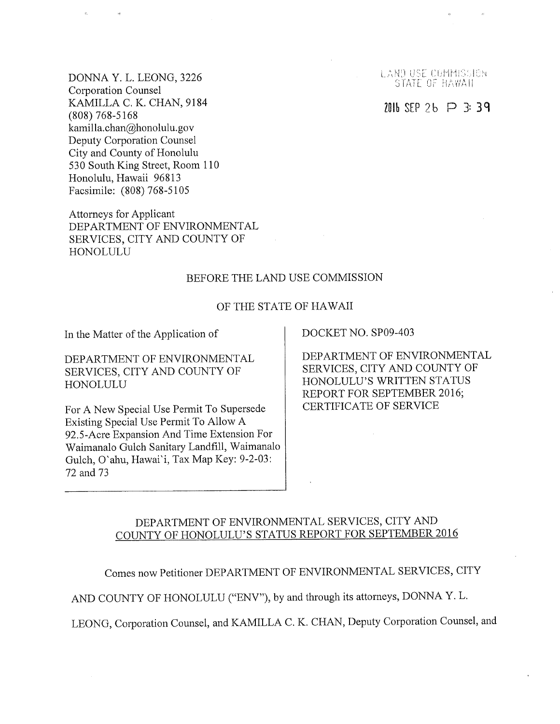DONNA Y. L. LEONG, 3226 Corporation Counsel KAMILLA C. K. CHAN, 9184 (808) 768-5168 kamilla.chan@honolulu, gov Deputy Corporation Counsel City and County of Honolulu 530 South King Street, Room 110 Honolulu, Hawaii 96813 Facsimile: (808) 768-5105

Attorneys for Applicant DEPARTMENT OF ENVIRONMENTAL SERVICES, CITY AND COUNTY OF HONOLULU

## BEFORE THE LAND USE COMMISSION

#### OF THE STATE OF HAWAII

In the Matter of the Application of DOCKET NO. SP09-403

DEPARTMENT OF ENVIRONMENTAL SERVICES, CITY AND COUNTY OF HONOLULU

For A New Special Use Permit To Supersede Existing Special Use Permit To Allow A 92.5-Acre Expansion And Time Extension For Waimanalo Gulch Sanitary Landfill, Waimanalo Gulch, O'ahu, Hawai'i, Tax Map Key: 9-2-03: 72 and 73

DEPARTMENT OF ENVIRONMENTAL SERVICES, CITY AND COUNTY OF HONOLULU'S WRITTEN STATUS REPORT FOR SEPTEMBER 2016; CERTIFICATE OF SERVICE

# DEPARTMENT OF ENVIRONMENTAL SERVICES, CITY AND COUNTY OF HONOLULU'S STATUS REPORT FOR SEPTEMBER 2016

Comes now Petitioner DEPARTMENT OF ENVIRONMENTAL SERVICES, CITY

AND COUNTY OF HONOLULU ("ENV"), by and through its attorneys, DONNA Y. L.

LEONG, Corporation Counsel, and KAMILLA C. K. CHAN, Deputy Corporation Counsel, and

LAND USE COMMISSION STATE OF HAWAII

2016 SEP 26  $\Box$  3:39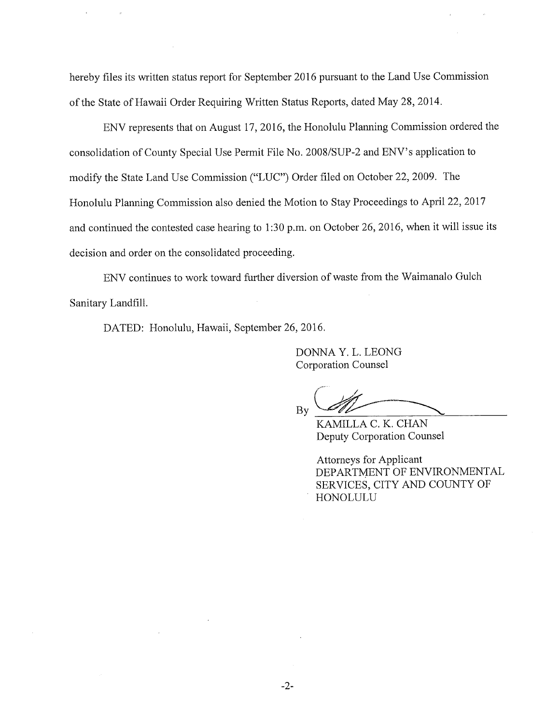hereby files its written status report for September 2016 pursuant to the Land Use Commission of the State of Hawaii Order Requiring Written Status Reports, dated May 28, 2014.

ENV represents that on August 17, 2016, the Honolulu Planning Commission ordered the consolidation of County Special Use Permit File No. 2008/SUP-2 and ENV's application to modify the State Land Use Commission ("LUC") Order filed on October 22, 2009. The Honolulu Planning Commission also denied the Motion to Stay Proceedings to April 22, 2017 and continued the contested case hearing to 1:30 p.m. on October 26, 2016, when it will issue its decision and order on the consolidated proceeding.

ENV continues to work toward further diversion of waste from the Waimanalo Gulch Sanitary Landfill.

DATED: Honolulu, Hawaii, September 26, 2016.

DONNA Y. L. LEONG Corporation Counsel

By

KAMILLA C. K. CHAN Deputy Corporation Counsel

Attorneys for Applicant DEPARTMENT OF ENVIRONMENTAL SERVICES, CITY AND COUNTY OF HONOLULU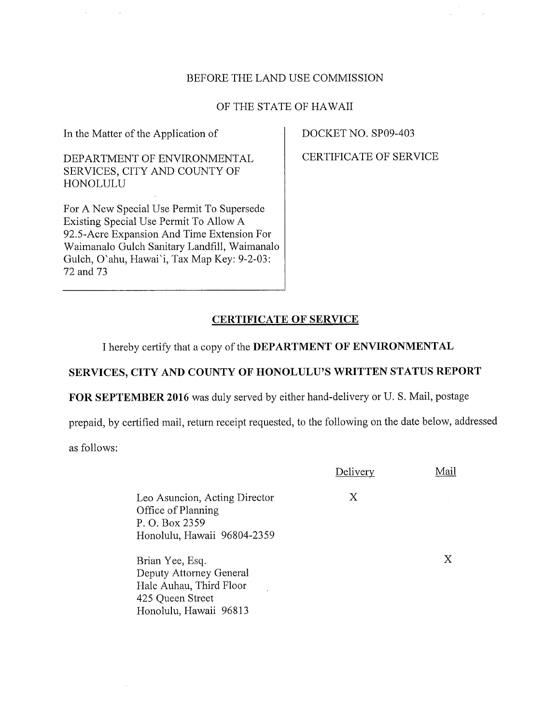# BEFORE THE LAND USE COMMISSION

### OF THE STATE OF HAWAII

In the Matter of the Application of

DEPARTMENT OF ENVIRONMENTAL SERVICES, CITY AND COUNTY OF HONOLULU

For A New Special Use Permit To Supersede Existing Special Use Permit To Allow A 92.5-Acre Expansion And Time Extension For Waimanalo Gulch Sanitary Landfill, Waimanalo Gulch, O'ahu, Hawai'i, Tax Map Key: 9-2-03: 72 and 73

DOCKET NO. SP09-403

CERTIFICATE OF SERVICE

## CERTIFICATE OF SERVICE

I hereby certify that a copy of the DEPARTMENT OF ENVIRONMENTAL

# SERVICES, CITY AND COUNTY OF HONOLULU'S WRITTEN STATUS REPORT

FOR SEPTEMBER 2016 was duly served by either hand-delivery or U. S. Mail, postage

prepaid, by certified mail, return receipt requested, to the following on the date below, addressed

as follows:

|                                                                                                                     | Delivery | Mail |
|---------------------------------------------------------------------------------------------------------------------|----------|------|
| Leo Asuncion, Acting Director<br>Office of Planning<br>P. O. Box 2359<br>Honolulu, Hawaii 96804-2359                | Х        |      |
| Brian Yee, Esq.<br>Deputy Attorney General<br>Hale Auhau, Third Floor<br>425 Queen Street<br>Honolulu, Hawaii 96813 |          |      |